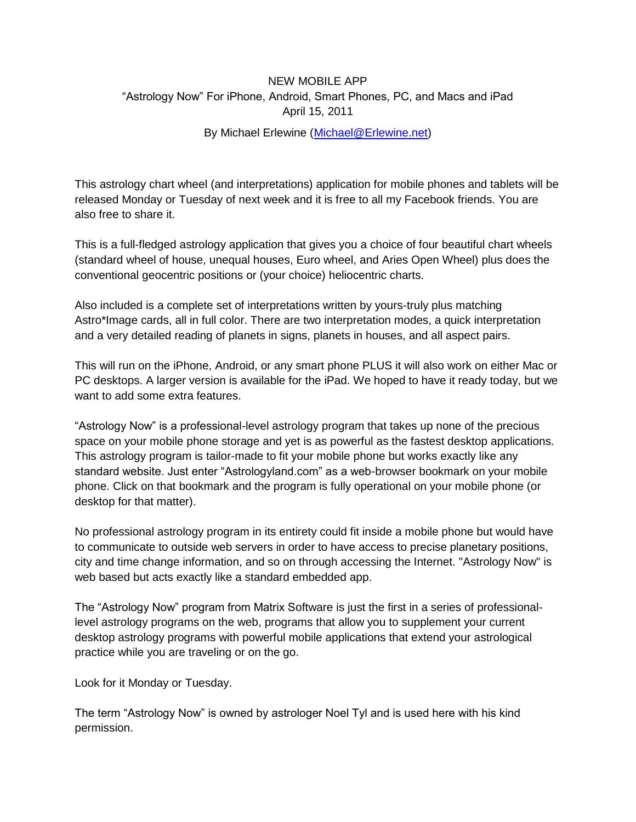## NEW MOBILE APP "Astrology Now" For iPhone, Android, Smart Phones, PC, and Macs and iPad April 15, 2011

## By Michael Erlewine [\(Michael@Erlewine.net\)](mailto:Michael@Erlewine.net)

This astrology chart wheel (and interpretations) application for mobile phones and tablets will be released Monday or Tuesday of next week and it is free to all my Facebook friends. You are also free to share it.

This is a full-fledged astrology application that gives you a choice of four beautiful chart wheels (standard wheel of house, unequal houses, Euro wheel, and Aries Open Wheel) plus does the conventional geocentric positions or (your choice) heliocentric charts.

Also included is a complete set of interpretations written by yours-truly plus matching Astro\*Image cards, all in full color. There are two interpretation modes, a quick interpretation and a very detailed reading of planets in signs, planets in houses, and all aspect pairs.

This will run on the iPhone, Android, or any smart phone PLUS it will also work on either Mac or PC desktops. A larger version is available for the iPad. We hoped to have it ready today, but we want to add some extra features.

"Astrology Now" is a professional-level astrology program that takes up none of the precious space on your mobile phone storage and yet is as powerful as the fastest desktop applications. This astrology program is tailor-made to fit your mobile phone but works exactly like any standard website. Just enter "Astrologyland.com" as a web-browser bookmark on your mobile phone. Click on that bookmark and the program is fully operational on your mobile phone (or desktop for that matter).

No professional astrology program in its entirety could fit inside a mobile phone but would have to communicate to outside web servers in order to have access to precise planetary positions, city and time change information, and so on through accessing the Internet. "Astrology Now" is web based but acts exactly like a standard embedded app.

The "Astrology Now" program from Matrix Software is just the first in a series of professionallevel astrology programs on the web, programs that allow you to supplement your current desktop astrology programs with powerful mobile applications that extend your astrological practice while you are traveling or on the go.

Look for it Monday or Tuesday.

The term "Astrology Now" is owned by astrologer Noel Tyl and is used here with his kind permission.